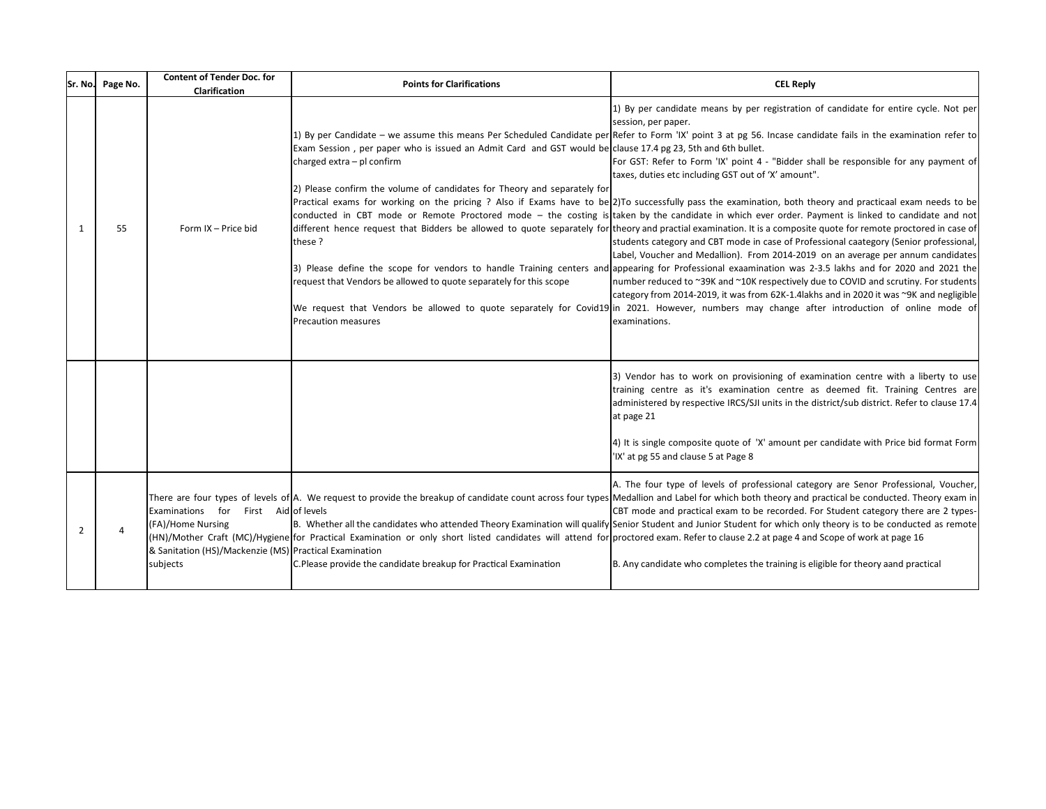|             | Sr. No. Page No. | <b>Content of Tender Doc. for</b><br>Clarification                                                                                 | <b>Points for Clarifications</b>                                                                                                                                                                                                                                                                                                    | <b>CEL Reply</b>                                                                                                                                                                                                                                                                                                                                                                                                                                                                                                                                                                                                                                                                                                                                                                                                                                                                                                                                                                                                                                                                                                                                                                                                                                                                                                                                                                                                                                                                                                                                                                                                  |
|-------------|------------------|------------------------------------------------------------------------------------------------------------------------------------|-------------------------------------------------------------------------------------------------------------------------------------------------------------------------------------------------------------------------------------------------------------------------------------------------------------------------------------|-------------------------------------------------------------------------------------------------------------------------------------------------------------------------------------------------------------------------------------------------------------------------------------------------------------------------------------------------------------------------------------------------------------------------------------------------------------------------------------------------------------------------------------------------------------------------------------------------------------------------------------------------------------------------------------------------------------------------------------------------------------------------------------------------------------------------------------------------------------------------------------------------------------------------------------------------------------------------------------------------------------------------------------------------------------------------------------------------------------------------------------------------------------------------------------------------------------------------------------------------------------------------------------------------------------------------------------------------------------------------------------------------------------------------------------------------------------------------------------------------------------------------------------------------------------------------------------------------------------------|
| $\mathbf 1$ | 55               | Form IX - Price bid                                                                                                                | Exam Session, per paper who is issued an Admit Card and GST would be clause 17.4 pg 23, 5th and 6th bullet.<br>charged extra - pl confirm<br>2) Please confirm the volume of candidates for Theory and separately for<br>these?<br>request that Vendors be allowed to quote separately for this scope<br><b>Precaution measures</b> | 1) By per candidate means by per registration of candidate for entire cycle. Not per<br>session, per paper.<br>1) By per Candidate – we assume this means Per Scheduled Candidate per Refer to Form 'IX' point 3 at pg 56. Incase candidate fails in the examination refer to<br>For GST: Refer to Form 'IX' point 4 - "Bidder shall be responsible for any payment of<br>taxes, duties etc including GST out of 'X' amount".<br>Practical exams for working on the pricing ? Also if Exams have to be 2)To successfully pass the examination, both theory and practicaal exam needs to be<br>conducted in CBT mode or Remote Proctored mode – the costing is taken by the candidate in which ever order. Payment is linked to candidate and not<br>different hence request that Bidders be allowed to quote separately for theory and practial examination. It is a composite quote for remote proctored in case of<br>students category and CBT mode in case of Professional caategory (Senior professional,<br>Label, Voucher and Medallion). From 2014-2019 on an average per annum candidates<br>3) Please define the scope for vendors to handle Training centers and appearing for Professional exaamination was 2-3.5 lakhs and for 2020 and 2021 the<br>number reduced to ~39K and ~10K respectively due to COVID and scrutiny. For students<br>category from 2014-2019, it was from 62K-1.4lakhs and in 2020 it was ~9K and negligible<br>We request that Vendors be allowed to quote separately for Covid19 in 2021. However, numbers may change after introduction of online mode of<br>examinations. |
|             |                  |                                                                                                                                    |                                                                                                                                                                                                                                                                                                                                     | 3) Vendor has to work on provisioning of examination centre with a liberty to use<br>training centre as it's examination centre as deemed fit. Training Centres are<br>administered by respective IRCS/SJI units in the district/sub district. Refer to clause 17.4<br>at page 21<br>4) It is single composite quote of 'X' amount per candidate with Price bid format Form<br>'IX' at pg 55 and clause 5 at Page 8                                                                                                                                                                                                                                                                                                                                                                                                                                                                                                                                                                                                                                                                                                                                                                                                                                                                                                                                                                                                                                                                                                                                                                                               |
| 2           | 4                | First Aid of levels<br>Examinations for<br>(FA)/Home Nursing<br>& Sanitation (HS)/Mackenzie (MS) Practical Examination<br>subjects | (HN)/Mother Craft (MC)/Hygiene for Practical Examination or only short listed candidates will attend for proctored exam. Refer to clause 2.2 at page 4 and Scope of work at page 16<br>C.Please provide the candidate breakup for Practical Examination                                                                             | A. The four type of levels of professional category are Senor Professional, Voucher,<br>There are four types of levels of A. We request to provide the breakup of candidate count across four types Medallion and Label for which both theory and practical be conducted. Theory exam in<br>CBT mode and practical exam to be recorded. For Student category there are 2 types-<br>B. Whether all the candidates who attended Theory Examination will qualify Senior Student and Junior Student for which only theory is to be conducted as remote<br>B. Any candidate who completes the training is eligible for theory aand practical                                                                                                                                                                                                                                                                                                                                                                                                                                                                                                                                                                                                                                                                                                                                                                                                                                                                                                                                                                           |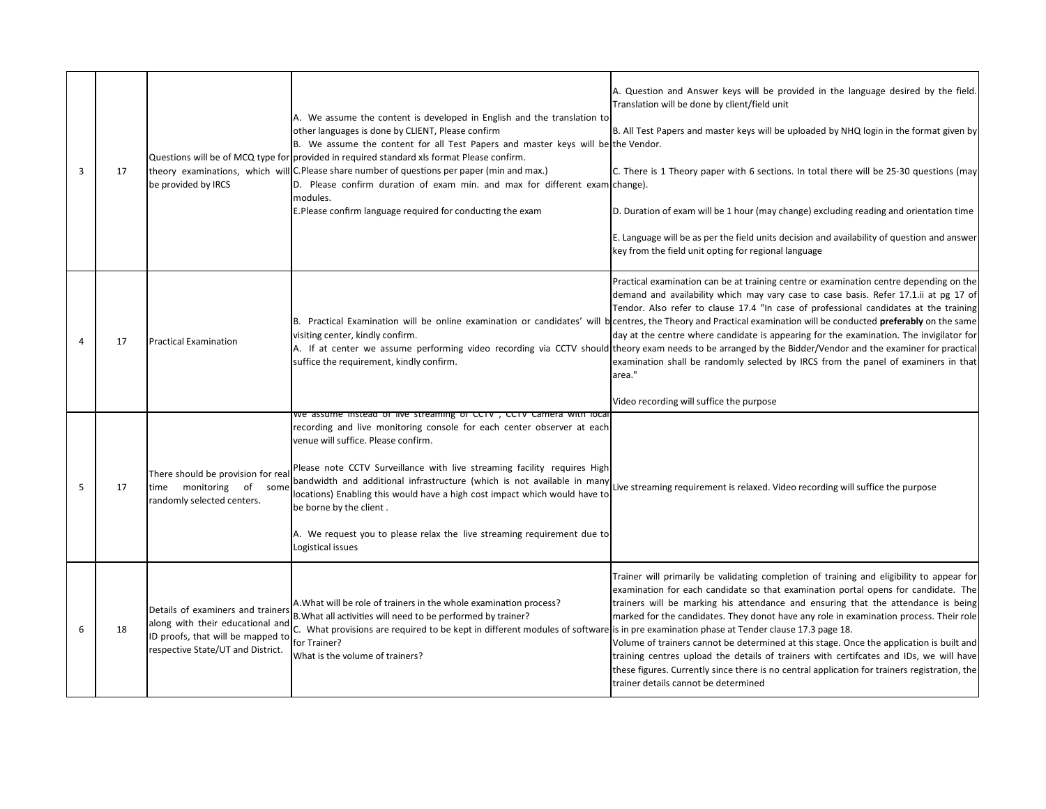| 3              | 17 | be provided by IRCS                                                                                                                             | A. We assume the content is developed in English and the translation to<br>other languages is done by CLIENT, Please confirm<br>B. We assume the content for all Test Papers and master keys will be the Vendor.<br>Questions will be of MCQ type for provided in required standard xls format Please confirm.<br>theory examinations, which will C.Please share number of questions per paper (min and max.)<br>D. Please confirm duration of exam min. and max for different exam change).<br>modules.<br>E.Please confirm language required for conducting the exam | A. Question and Answer keys will be provided in the language desired by the field.<br>Translation will be done by client/field unit<br>B. All Test Papers and master keys will be uploaded by NHQ login in the format given by<br>C. There is 1 Theory paper with 6 sections. In total there will be 25-30 questions (may<br>D. Duration of exam will be 1 hour (may change) excluding reading and orientation time<br>E. Language will be as per the field units decision and availability of question and answer<br>key from the field unit opting for regional language                                                                                                                                                                                                                                                                      |
|----------------|----|-------------------------------------------------------------------------------------------------------------------------------------------------|------------------------------------------------------------------------------------------------------------------------------------------------------------------------------------------------------------------------------------------------------------------------------------------------------------------------------------------------------------------------------------------------------------------------------------------------------------------------------------------------------------------------------------------------------------------------|-------------------------------------------------------------------------------------------------------------------------------------------------------------------------------------------------------------------------------------------------------------------------------------------------------------------------------------------------------------------------------------------------------------------------------------------------------------------------------------------------------------------------------------------------------------------------------------------------------------------------------------------------------------------------------------------------------------------------------------------------------------------------------------------------------------------------------------------------|
| $\overline{4}$ | 17 | <b>Practical Examination</b>                                                                                                                    | visiting center, kindly confirm.<br>suffice the requirement, kindly confirm.                                                                                                                                                                                                                                                                                                                                                                                                                                                                                           | Practical examination can be at training centre or examination centre depending on the<br>demand and availability which may vary case to case basis. Refer 17.1.ii at pg 17 of<br>Tendor. Also refer to clause 17.4 "In case of professional candidates at the training<br>B. Practical Examination will be online examination or candidates' will b centres, the Theory and Practical examination will be conducted preferably on the same<br>day at the centre where candidate is appearing for the examination. The invigilator for<br>A. If at center we assume performing video recording via CCTV should theory exam needs to be arranged by the Bidder/Vendor and the examiner for practical<br>examination shall be randomly selected by IRCS from the panel of examiners in that<br>area."<br>Video recording will suffice the purpose |
| 5              | 17 | There should be provision for rea<br>time monitoring of<br>some<br>randomly selected centers.                                                   | We assume instead of live streaming of CCTV, CCTV Camera with local<br>recording and live monitoring console for each center observer at each<br>venue will suffice. Please confirm.<br>Please note CCTV Surveillance with live streaming facility requires High<br>bandwidth and additional infrastructure (which is not available in many<br>locations) Enabling this would have a high cost impact which would have to<br>be borne by the client.<br>A. We request you to please relax the live streaming requirement due to<br>Logistical issues                   | Live streaming requirement is relaxed. Video recording will suffice the purpose                                                                                                                                                                                                                                                                                                                                                                                                                                                                                                                                                                                                                                                                                                                                                                 |
| 6              | 18 | Details of examiners and trainers<br>along with their educational and<br>ID proofs, that will be mapped to<br>respective State/UT and District. | A. What will be role of trainers in the whole examination process?<br>B. What all activities will need to be performed by trainer?<br>C. What provisions are required to be kept in different modules of software is in pre examination phase at Tender clause 17.3 page 18.<br>for Trainer?<br>What is the volume of trainers?                                                                                                                                                                                                                                        | Trainer will primarily be validating completion of training and eligibility to appear for<br>examination for each candidate so that examination portal opens for candidate. The<br>trainers will be marking his attendance and ensuring that the attendance is being<br>marked for the candidates. They donot have any role in examination process. Their role<br>Volume of trainers cannot be determined at this stage. Once the application is built and<br>training centres upload the details of trainers with certifcates and IDs, we will have<br>these figures. Currently since there is no central application for trainers registration, the<br>trainer details cannot be determined                                                                                                                                                   |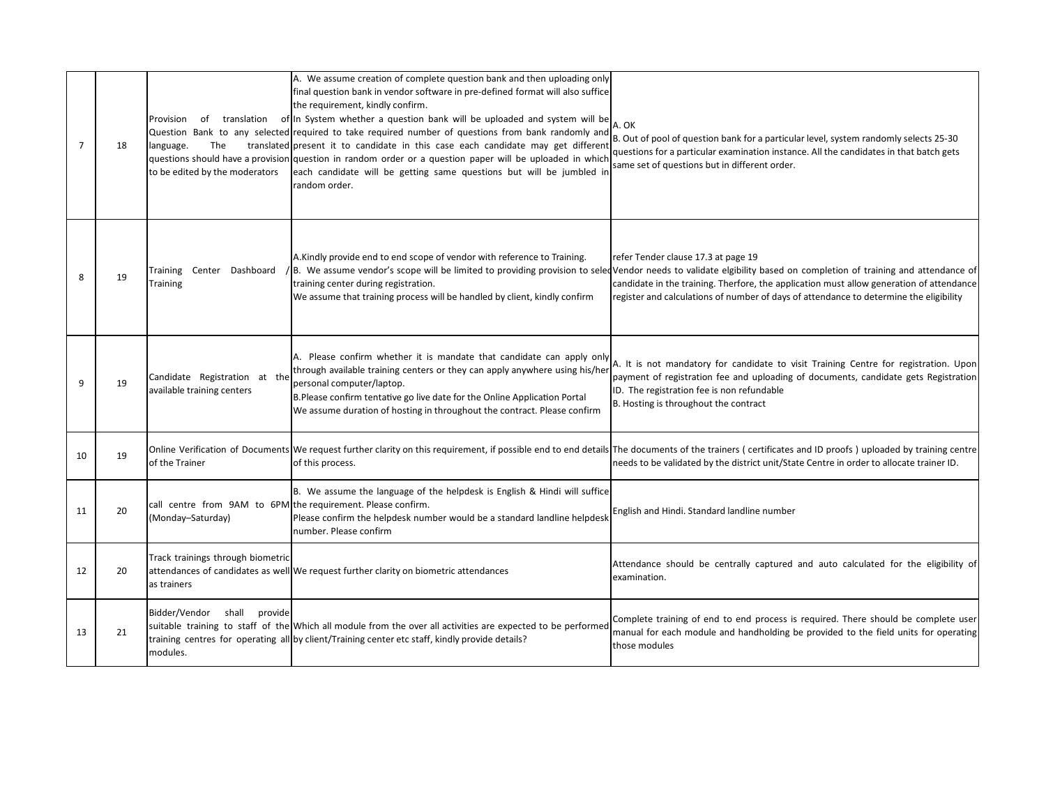| $\overline{7}$ | 18 | Provision<br>The<br>language.<br>to be edited by the moderators                   | A. We assume creation of complete question bank and then uploading only<br>final question bank in vendor software in pre-defined format will also suffice<br>the requirement, kindly confirm.<br>of translation of In System whether a question bank will be uploaded and system will be<br>Question Bank to any selected required to take required number of questions from bank randomly and<br>translated present it to candidate in this case each candidate may get different<br>questions should have a provision question in random order or a question paper will be uploaded in which<br>each candidate will be getting same questions but will be jumbled in<br>random order. | A. OK<br>B. Out of pool of question bank for a particular level, system randomly selects 25-30<br>questions for a particular examination instance. All the candidates in that batch gets<br>same set of questions but in different order.                                                                                                                                                     |
|----------------|----|-----------------------------------------------------------------------------------|-----------------------------------------------------------------------------------------------------------------------------------------------------------------------------------------------------------------------------------------------------------------------------------------------------------------------------------------------------------------------------------------------------------------------------------------------------------------------------------------------------------------------------------------------------------------------------------------------------------------------------------------------------------------------------------------|-----------------------------------------------------------------------------------------------------------------------------------------------------------------------------------------------------------------------------------------------------------------------------------------------------------------------------------------------------------------------------------------------|
| 8              | 19 | Training Center Dashboard<br>Training                                             | A.Kindly provide end to end scope of vendor with reference to Training.<br>training center during registration.<br>We assume that training process will be handled by client, kindly confirm                                                                                                                                                                                                                                                                                                                                                                                                                                                                                            | refer Tender clause 17.3 at page 19<br>B. We assume vendor's scope will be limited to providing provision to seledVendor needs to validate elgibility based on completion of training and attendance of<br>candidate in the training. Therfore, the application must allow generation of attendance<br>register and calculations of number of days of attendance to determine the eligibility |
| 9              | 19 | Candidate Registration at the<br>available training centers                       | A. Please confirm whether it is mandate that candidate can apply only<br>through available training centers or they can apply anywhere using his/her<br>personal computer/laptop.<br>B.Please confirm tentative go live date for the Online Application Portal<br>We assume duration of hosting in throughout the contract. Please confirm                                                                                                                                                                                                                                                                                                                                              | A. It is not mandatory for candidate to visit Training Centre for registration. Upon<br>payment of registration fee and uploading of documents, candidate gets Registration<br>ID. The registration fee is non refundable<br>B. Hosting is throughout the contract                                                                                                                            |
| 10             | 19 | of the Trainer                                                                    | of this process.                                                                                                                                                                                                                                                                                                                                                                                                                                                                                                                                                                                                                                                                        | Online Verification of Documents We request further clarity on this requirement, if possible end to end details The documents of the trainers (certificates and ID proofs) uploaded by training centre<br>needs to be validated by the district unit/State Centre in order to allocate trainer ID.                                                                                            |
| 11             | 20 | call centre from 9AM to 6PM the requirement. Please confirm.<br>(Monday-Saturday) | B. We assume the language of the helpdesk is English & Hindi will suffice<br>Please confirm the helpdesk number would be a standard landline helpdesk<br>number. Please confirm                                                                                                                                                                                                                                                                                                                                                                                                                                                                                                         | English and Hindi. Standard landline number                                                                                                                                                                                                                                                                                                                                                   |
| 12             | 20 | Track trainings through biometric<br>as trainers                                  | attendances of candidates as well We request further clarity on biometric attendances                                                                                                                                                                                                                                                                                                                                                                                                                                                                                                                                                                                                   | Attendance should be centrally captured and auto calculated for the eligibility of<br>examination.                                                                                                                                                                                                                                                                                            |
| 13             | 21 | Bidder/Vendor<br>shall provide<br>modules.                                        | suitable training to staff of the Which all module from the over all activities are expected to be performed<br>training centres for operating all by client/Training center etc staff, kindly provide details?                                                                                                                                                                                                                                                                                                                                                                                                                                                                         | Complete training of end to end process is required. There should be complete user<br>manual for each module and handholding be provided to the field units for operating<br>those modules                                                                                                                                                                                                    |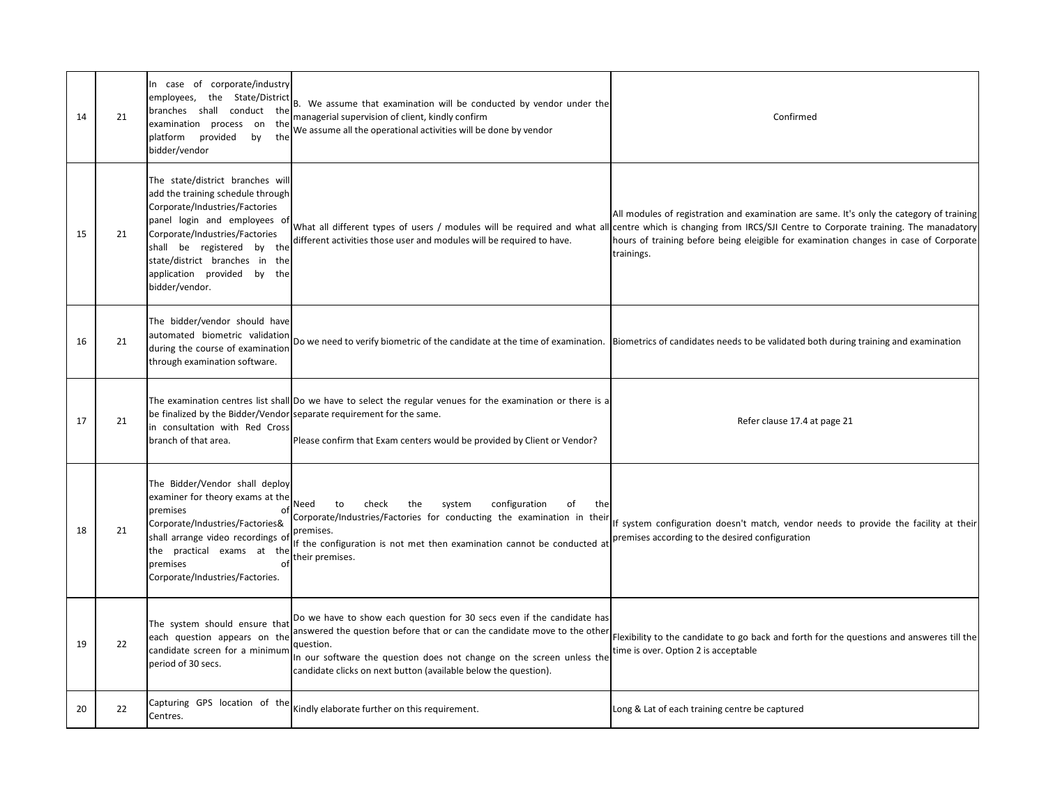| 14 | 21 | In case of corporate/industry<br>the State/District<br>employees,<br>conduct the<br>branches shall<br>examination process on<br>the<br>platform<br>provided<br>by<br>the<br>bidder/vendor                                                                                                  | B. We assume that examination will be conducted by vendor under the<br>managerial supervision of client, kindly confirm<br>We assume all the operational activities will be done by vendor                                                                                                                  | Confirmed                                                                                                                                                                                                                                                                                                                                                        |
|----|----|--------------------------------------------------------------------------------------------------------------------------------------------------------------------------------------------------------------------------------------------------------------------------------------------|-------------------------------------------------------------------------------------------------------------------------------------------------------------------------------------------------------------------------------------------------------------------------------------------------------------|------------------------------------------------------------------------------------------------------------------------------------------------------------------------------------------------------------------------------------------------------------------------------------------------------------------------------------------------------------------|
| 15 | 21 | The state/district branches will<br>add the training schedule through<br>Corporate/Industries/Factories<br>panel login and employees of<br>Corporate/Industries/Factories<br>shall be registered by the<br>state/district branches in the<br>application provided by the<br>bidder/vendor. | different activities those user and modules will be required to have.                                                                                                                                                                                                                                       | All modules of registration and examination are same. It's only the category of training<br>What all different types of users / modules will be required and what all centre which is changing from IRCS/SJI Centre to Corporate training. The manadatory<br>hours of training before being eleigible for examination changes in case of Corporate<br>trainings. |
| 16 | 21 | The bidder/vendor should have<br>automated biometric validation<br>during the course of examination<br>through examination software.                                                                                                                                                       |                                                                                                                                                                                                                                                                                                             | Do we need to verify biometric of the candidate at the time of examination. Biometrics of candidates needs to be validated both during training and examination                                                                                                                                                                                                  |
| 17 | 21 | in consultation with Red Cross<br>branch of that area.                                                                                                                                                                                                                                     | The examination centres list shall Do we have to select the regular venues for the examination or there is a<br>be finalized by the Bidder/Vendor separate requirement for the same.<br>Please confirm that Exam centers would be provided by Client or Vendor?                                             | Refer clause 17.4 at page 21                                                                                                                                                                                                                                                                                                                                     |
| 18 | 21 | The Bidder/Vendor shall deploy<br>examiner for theory exams at the<br>premises<br>of<br>Corporate/Industries/Factories&<br>shall arrange video recordings of<br>the practical exams at the<br>premises<br>of<br>Corporate/Industries/Factories.                                            | the<br>Need<br>check<br>system<br>configuration<br>to<br>of<br>the<br>Corporate/Industries/Factories for conducting the examination in their<br>premises.<br>If the configuration is not met then examination cannot be conducted at<br>their premises.                                                     | If system configuration doesn't match, vendor needs to provide the facility at their<br>premises according to the desired configuration                                                                                                                                                                                                                          |
| 19 | 22 | The system should ensure that<br>each question appears on the<br>candidate screen for a minimum<br>period of 30 secs.                                                                                                                                                                      | Do we have to show each question for 30 secs even if the candidate has<br>answered the question before that or can the candidate move to the other<br>question.<br>In our software the question does not change on the screen unless the<br>candidate clicks on next button (available below the question). | Flexibility to the candidate to go back and forth for the questions and answeres till the<br>time is over. Option 2 is acceptable                                                                                                                                                                                                                                |
| 20 | 22 | Capturing GPS location of the<br>Centres.                                                                                                                                                                                                                                                  | Kindly elaborate further on this requirement.                                                                                                                                                                                                                                                               | Long & Lat of each training centre be captured                                                                                                                                                                                                                                                                                                                   |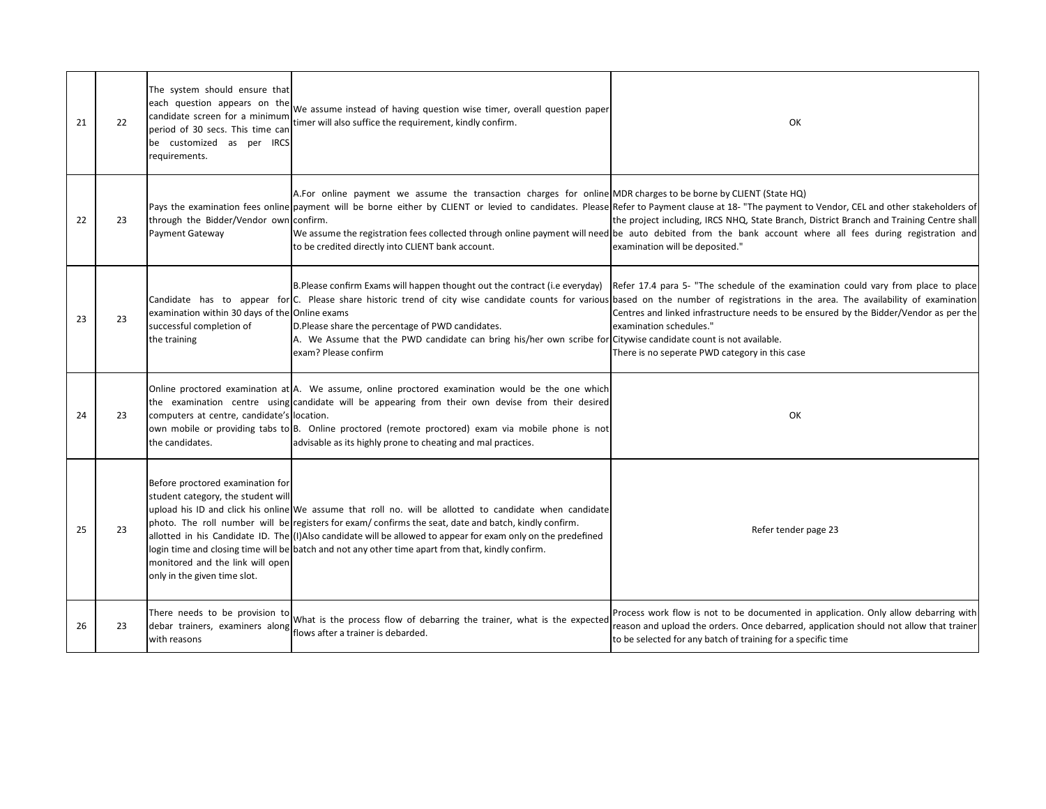| 21 | 22 | The system should ensure that<br>each question appears on the<br>candidate screen for a minimum<br>period of 30 secs. This time can<br>be customized as per IRCS<br>requirements. | We assume instead of having question wise timer, overall question paper<br>timer will also suffice the requirement, kindly confirm.                                                                                                                                                                                                                                                                                                   | OK                                                                                                                                                                                                                                                                                                                                                                                                                                                                                     |
|----|----|-----------------------------------------------------------------------------------------------------------------------------------------------------------------------------------|---------------------------------------------------------------------------------------------------------------------------------------------------------------------------------------------------------------------------------------------------------------------------------------------------------------------------------------------------------------------------------------------------------------------------------------|----------------------------------------------------------------------------------------------------------------------------------------------------------------------------------------------------------------------------------------------------------------------------------------------------------------------------------------------------------------------------------------------------------------------------------------------------------------------------------------|
| 22 | 23 | through the Bidder/Vendor own confirm.<br>Payment Gateway                                                                                                                         | A. For online payment we assume the transaction charges for online MDR charges to be borne by CLIENT (State HQ)<br>to be credited directly into CLIENT bank account.                                                                                                                                                                                                                                                                  | Pays the examination fees online payment will be borne either by CLIENT or levied to candidates. Please Refer to Payment clause at 18- "The payment to Vendor, CEL and other stakeholders of<br>the project including, IRCS NHQ, State Branch, District Branch and Training Centre shall<br>We assume the registration fees collected through online payment will need be auto debited from the bank account where all fees during registration and<br>examination will be deposited." |
| 23 | 23 | examination within 30 days of the Online exams<br>successful completion of<br>the training                                                                                        | B.Please confirm Exams will happen thought out the contract (i.e everyday)<br>D.Please share the percentage of PWD candidates.<br>A. We Assume that the PWD candidate can bring his/her own scribe for Citywise candidate count is not available.<br>exam? Please confirm                                                                                                                                                             | Refer 17.4 para 5- "The schedule of the examination could vary from place to place<br>Candidate has to appear for C. Please share historic trend of city wise candidate counts for various based on the number of registrations in the area. The availability of examination<br>Centres and linked infrastructure needs to be ensured by the Bidder/Vendor as per the<br>examination schedules."<br>There is no seperate PWD category in this case                                     |
| 24 | 23 | computers at centre, candidate's location.<br>the candidates.                                                                                                                     | Online proctored examination at A. We assume, online proctored examination would be the one which<br>the examination centre using candidate will be appearing from their own devise from their desired<br>own mobile or providing tabs to B. Online proctored (remote proctored) exam via mobile phone is not<br>advisable as its highly prone to cheating and mal practices.                                                         | OK                                                                                                                                                                                                                                                                                                                                                                                                                                                                                     |
| 25 | 23 | Before proctored examination for<br>student category, the student will<br>monitored and the link will open<br>only in the given time slot.                                        | upload his ID and click his online We assume that roll no. will be allotted to candidate when candidate<br>photo. The roll number will be registers for exam/confirms the seat, date and batch, kindly confirm.<br>allotted in his Candidate ID. The (I)Also candidate will be allowed to appear for exam only on the predefined<br>login time and closing time will be batch and not any other time apart from that, kindly confirm. | Refer tender page 23                                                                                                                                                                                                                                                                                                                                                                                                                                                                   |
| 26 | 23 | There needs to be provision to<br>debar trainers, examiners along flows after a trainer is debarded.<br>with reasons                                                              | What is the process flow of debarring the trainer, what is the expected                                                                                                                                                                                                                                                                                                                                                               | Process work flow is not to be documented in application. Only allow debarring with<br>reason and upload the orders. Once debarred, application should not allow that trainer<br>to be selected for any batch of training for a specific time                                                                                                                                                                                                                                          |